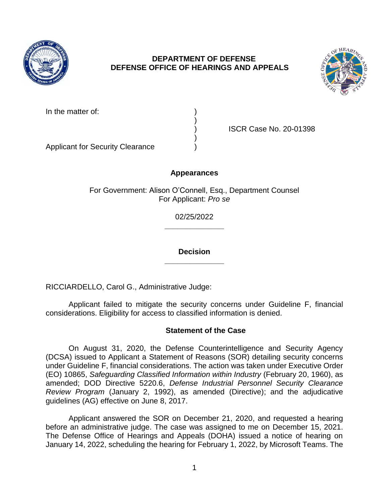

# **DEPARTMENT OF DEFENSE DEFENSE OFFICE OF HEARINGS AND APPEALS**



| In the matter of: |  |
|-------------------|--|
|-------------------|--|

) ISCR Case No. 20-01398

Applicant for Security Clearance )

## **Appearances**

)

)

For Government: Alison O'Connell, Esq., Department Counsel For Applicant: *Pro se* 

> **\_\_\_\_\_\_\_\_\_\_\_\_\_\_**  02/25/2022

> **\_\_\_\_\_\_\_\_\_\_\_\_\_\_ Decision**

RICCIARDELLO, Carol G., Administrative Judge:

Applicant failed to mitigate the security concerns under Guideline F, financial considerations. Eligibility for access to classified information is denied.

## **Statement of the Case**

 On August 31, 2020, the Defense Counterintelligence and Security Agency (DCSA) issued to Applicant a Statement of Reasons (SOR) detailing security concerns under Guideline F, financial considerations. The action was taken under Executive Order *Review Program* (January 2, 1992), as amended (Directive); and the adjudicative (EO) 10865, *Safeguarding Classified Information within Industry* (February 20, 1960), as amended; DOD Directive 5220.6, *Defense Industrial Personnel Security Clearance*  guidelines (AG) effective on June 8, 2017.

 Applicant answered the SOR on December 21, 2020, and requested a hearing before an administrative judge. The case was assigned to me on December 15, 2021. The Defense Office of Hearings and Appeals (DOHA) issued a notice of hearing on January 14, 2022, scheduling the hearing for February 1, 2022, by Microsoft Teams. The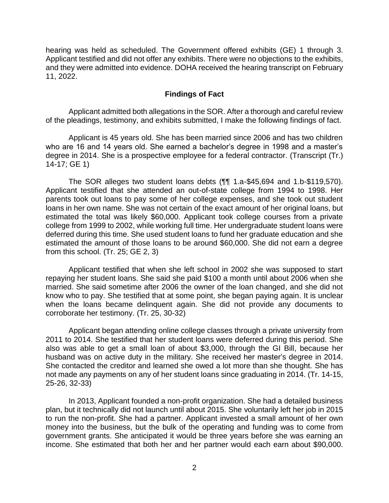Applicant testified and did not offer any exhibits. There were no objections to the exhibits, and they were admitted into evidence. DOHA received the hearing transcript on February hearing was held as scheduled. The Government offered exhibits (GE) 1 through 3. 11, 2022.

### **Findings of Fact**

 Applicant admitted both allegations in the SOR. After a thorough and careful review of the pleadings, testimony, and exhibits submitted, I make the following findings of fact.

Applicant is 45 years old. She has been married since 2006 and has two children who are 16 and 14 years old. She earned a bachelor's degree in 1998 and a master's degree in 2014. She is a prospective employee for a federal contractor. (Transcript (Tr.) 14-17; GE 1)

 The SOR alleges two student loans debts (¶¶ 1.a-\$45,694 and 1.b-\$119,570). Applicant testified that she attended an out-of-state college from 1994 to 1998. Her parents took out loans to pay some of her college expenses, and she took out student loans in her own name. She was not certain of the exact amount of her original loans, but estimated the total was likely \$60,000. Applicant took college courses from a private college from 1999 to 2002, while working full time. Her undergraduate student loans were deferred during this time. She used student loans to fund her graduate education and she estimated the amount of those loans to be around \$60,000. She did not earn a degree from this school. (Tr. 25; GE 2, 3)

 Applicant testified that when she left school in 2002 she was supposed to start repaying her student loans. She said she paid \$100 a month until about 2006 when she married. She said sometime after 2006 the owner of the loan changed, and she did not know who to pay. She testified that at some point, she began paying again. It is unclear when the loans became delinquent again. She did not provide any documents to corroborate her testimony. (Tr. 25, 30-32)

 Applicant began attending online college classes through a private university from 2011 to 2014. She testified that her student loans were deferred during this period. She also was able to get a small loan of about \$3,000, through the GI Bill, because her husband was on active duty in the military. She received her master's degree in 2014. She contacted the creditor and learned she owed a lot more than she thought. She has not made any payments on any of her student loans since graduating in 2014. (Tr. 14-15, 25-26, 32-33)

 In 2013, Applicant founded a non-profit organization. She had a detailed business to run the non-profit. She had a partner. Applicant invested a small amount of her own money into the business, but the bulk of the operating and funding was to come from government grants. She anticipated it would be three years before she was earning an income. She estimated that both her and her partner would each earn about \$90,000. plan, but it technically did not launch until about 2015. She voluntarily left her job in 2015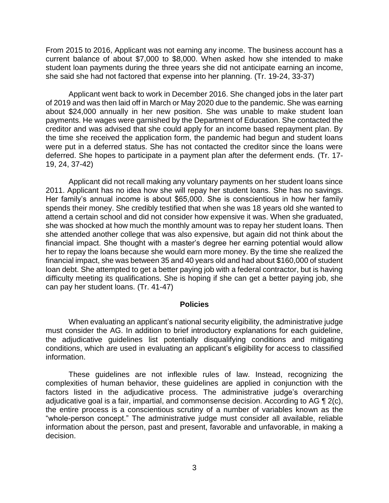From 2015 to 2016, Applicant was not earning any income. The business account has a current balance of about \$7,000 to \$8,000. When asked how she intended to make student loan payments during the three years she did not anticipate earning an income, she said she had not factored that expense into her planning. (Tr. 19-24, 33-37)

Applicant went back to work in December 2016. She changed jobs in the later part of 2019 and was then laid off in March or May 2020 due to the pandemic. She was earning about \$24,000 annually in her new position. She was unable to make student loan payments. He wages were garnished by the Department of Education. She contacted the creditor and was advised that she could apply for an income based repayment plan. By the time she received the application form, the pandemic had begun and student loans were put in a deferred status. She has not contacted the creditor since the loans were deferred. She hopes to participate in a payment plan after the deferment ends. (Tr. 17- 19, 24, 37-42)

 Applicant did not recall making any voluntary payments on her student loans since 2011. Applicant has no idea how she will repay her student loans. She has no savings. spends their money. She credibly testified that when she was 18 years old she wanted to attend a certain school and did not consider how expensive it was. When she graduated, she was shocked at how much the monthly amount was to repay her student loans. Then she attended another college that was also expensive, but again did not think about the financial impact. She thought with a master's degree her earning potential would allow her to repay the loans because she would earn more money. By the time she realized the financial impact, she was between 35 and 40 years old and had about \$160,000 of student loan debt. She attempted to get a better paying job with a federal contractor, but is having difficulty meeting its qualifications. She is hoping if she can get a better paying job, she Her family's annual income is about \$65,000. She is conscientious in how her family can pay her student loans. (Tr. 41-47)

#### **Policies**

 When evaluating an applicant's national security eligibility, the administrative judge must consider the AG. In addition to brief introductory explanations for each guideline, the adjudicative guidelines list potentially disqualifying conditions and mitigating conditions, which are used in evaluating an applicant's eligibility for access to classified information.

 These guidelines are not inflexible rules of law. Instead, recognizing the complexities of human behavior, these guidelines are applied in conjunction with the factors listed in the adjudicative process. The administrative judge's overarching adjudicative goal is a fair, impartial, and commonsense decision. According to AG  $\P$  2(c), the entire process is a conscientious scrutiny of a number of variables known as the "whole-person concept." The administrative judge must consider all available, reliable information about the person, past and present, favorable and unfavorable, in making a decision.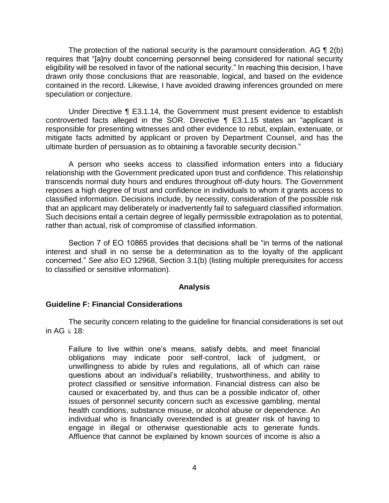The protection of the national security is the paramount consideration. AG  $\P$  2(b) eligibility will be resolved in favor of the national security." In reaching this decision, I have drawn only those conclusions that are reasonable, logical, and based on the evidence contained in the record. Likewise, I have avoided drawing inferences grounded on mere requires that "[a]ny doubt concerning personnel being considered for national security speculation or conjecture.

 Under Directive ¶ E3.1.14, the Government must present evidence to establish controverted facts alleged in the SOR. Directive ¶ E3.1.15 states an "applicant is responsible for presenting witnesses and other evidence to rebut, explain, extenuate, or mitigate facts admitted by applicant or proven by Department Counsel, and has the ultimate burden of persuasion as to obtaining a favorable security decision."

 A person who seeks access to classified information enters into a fiduciary relationship with the Government predicated upon trust and confidence. This relationship transcends normal duty hours and endures throughout off-duty hours. The Government reposes a high degree of trust and confidence in individuals to whom it grants access to classified information. Decisions include, by necessity, consideration of the possible risk that an applicant may deliberately or inadvertently fail to safeguard classified information. Such decisions entail a certain degree of legally permissible extrapolation as to potential, rather than actual, risk of compromise of classified information.

Section 7 of EO 10865 provides that decisions shall be "in terms of the national interest and shall in no sense be a determination as to the loyalty of the applicant concerned." *See also* EO 12968, Section 3.1(b) (listing multiple prerequisites for access to classified or sensitive information).

#### **Analysis**

## **Guideline F: Financial Considerations**

 The security concern relating to the guideline for financial considerations is set out in AG & 18:

Failure to live within one's means, satisfy debts, and meet financial obligations may indicate poor self-control, lack of judgment, or unwillingness to abide by rules and regulations, all of which can raise questions about an individual's reliability, trustworthiness, and ability to protect classified or sensitive information. Financial distress can also be caused or exacerbated by, and thus can be a possible indicator of, other issues of personnel security concern such as excessive gambling, mental health conditions, substance misuse, or alcohol abuse or dependence. An individual who is financially overextended is at greater risk of having to engage in illegal or otherwise questionable acts to generate funds. Affluence that cannot be explained by known sources of income is also a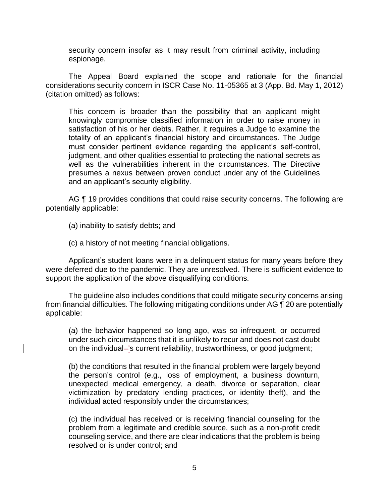security concern insofar as it may result from criminal activity, including espionage.

 The Appeal Board explained the scope and rationale for the financial considerations security concern in ISCR Case No. 11-05365 at 3 (App. Bd. May 1, 2012) (citation omitted) as follows:

This concern is broader than the possibility that an applicant might knowingly compromise classified information in order to raise money in satisfaction of his or her debts. Rather, it requires a Judge to examine the totality of an applicant's financial history and circumstances. The Judge must consider pertinent evidence regarding the applicant's self-control, judgment, and other qualities essential to protecting the national secrets as well as the vulnerabilities inherent in the circumstances. The Directive presumes a nexus between proven conduct under any of the Guidelines and an applicant's security eligibility.

AG ¶ 19 provides conditions that could raise security concerns. The following are potentially applicable:

(a) inability to satisfy debts; and

(c) a history of not meeting financial obligations.

Applicant's student loans were in a delinquent status for many years before they were deferred due to the pandemic. They are unresolved. There is sufficient evidence to support the application of the above disqualifying conditions.

 The guideline also includes conditions that could mitigate security concerns arising from financial difficulties. The following mitigating conditions under AG ¶ 20 are potentially applicable:

(a) the behavior happened so long ago, was so infrequent, or occurred under such circumstances that it is unlikely to recur and does not cast doubt on the individual='s current reliability, trustworthiness, or good judgment;

 (b) the conditions that resulted in the financial problem were largely beyond the person's control (e.g., loss of employment, a business downturn, unexpected medical emergency, a death, divorce or separation, clear victimization by predatory lending practices, or identity theft), and the individual acted responsibly under the circumstances;

 (c) the individual has received or is receiving financial counseling for the problem from a legitimate and credible source, such as a non-profit credit counseling service, and there are clear indications that the problem is being resolved or is under control; and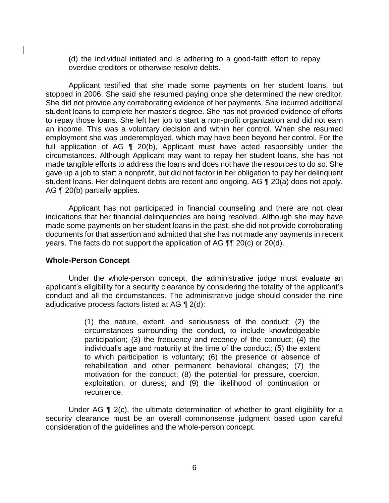(d) the individual initiated and is adhering to a good-faith effort to repay overdue creditors or otherwise resolve debts.

 Applicant testified that she made some payments on her student loans, but stopped in 2006. She said she resumed paying once she determined the new creditor. She did not provide any corroborating evidence of her payments. She incurred additional to repay those loans. She left her job to start a non-profit organization and did not earn an income. This was a voluntary decision and within her control. When she resumed employment she was underemployed, which may have been beyond her control. For the full application of AG ¶ 20(b), Applicant must have acted responsibly under the circumstances. Although Applicant may want to repay her student loans, she has not made tangible efforts to address the loans and does not have the resources to do so. She gave up a job to start a nonprofit, but did not factor in her obligation to pay her delinquent student loans. Her delinquent debts are recent and ongoing. AG ¶ 20(a) does not apply. student loans to complete her master's degree. She has not provided evidence of efforts AG ¶ 20(b) partially applies.

 Applicant has not participated in financial counseling and there are not clear indications that her financial delinquencies are being resolved. Although she may have made some payments on her student loans in the past, she did not provide corroborating documents for that assertion and admitted that she has not made any payments in recent years. The facts do not support the application of AG ¶¶ 20(c) or 20(d).

#### **Whole-Person Concept**

 Under the whole-person concept, the administrative judge must evaluate an applicant's eligibility for a security clearance by considering the totality of the applicant's conduct and all the circumstances. The administrative judge should consider the nine adjudicative process factors listed at AG ¶ 2(d):

> (1) the nature, extent, and seriousness of the conduct; (2) the circumstances surrounding the conduct, to include knowledgeable participation; (3) the frequency and recency of the conduct; (4) the individual's age and maturity at the time of the conduct; (5) the extent to which participation is voluntary; (6) the presence or absence of rehabilitation and other permanent behavioral changes; (7) the motivation for the conduct; (8) the potential for pressure, coercion, exploitation, or duress; and (9) the likelihood of continuation or recurrence.

Under AG  $\P$  2(c), the ultimate determination of whether to grant eligibility for a security clearance must be an overall commonsense judgment based upon careful consideration of the guidelines and the whole-person concept.